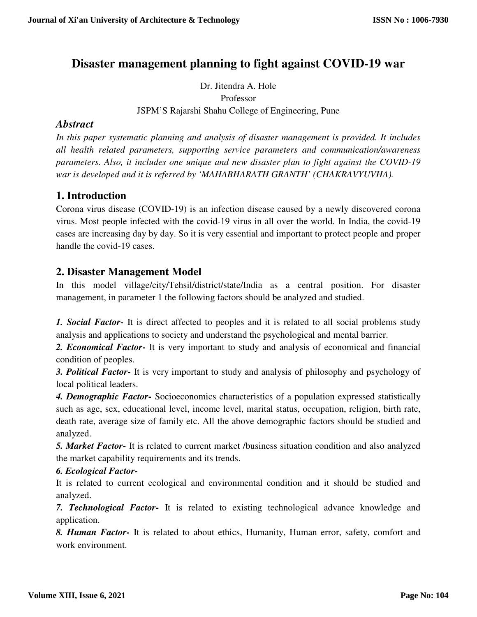# **Disaster management planning to fight against COVID-19 war**

Dr. Jitendra A. Hole Professor JSPM'S Rajarshi Shahu College of Engineering, Pune

### *Abstract*

*In this paper systematic planning and analysis of disaster management is provided. It includes all health related parameters, supporting service parameters and communication/awareness parameters. Also, it includes one unique and new disaster plan to fight against the COVID-19 war is developed and it is referred by 'MAHABHARATH GRANTH' (CHAKRAVYUVHA).* 

## **1. Introduction**

Corona virus disease (COVID-19) is an infection disease caused by a newly discovered corona virus. Most people infected with the covid-19 virus in all over the world. In India, the covid-19 cases are increasing day by day. So it is very essential and important to protect people and proper handle the covid-19 cases.

## **2. Disaster Management Model**

In this model village/city/Tehsil/district/state/India as a central position. For disaster management, in parameter 1 the following factors should be analyzed and studied.

*1. Social Factor***-** It is direct affected to peoples and it is related to all social problems study analysis and applications to society and understand the psychological and mental barrier.

*2. Economical Factor***-** It is very important to study and analysis of economical and financial condition of peoples.

*3. Political Factor***-** It is very important to study and analysis of philosophy and psychology of local political leaders.

*4. Demographic Factor***-** Socioeconomics characteristics of a population expressed statistically such as age, sex, educational level, income level, marital status, occupation, religion, birth rate, death rate, average size of family etc. All the above demographic factors should be studied and analyzed.

*5. Market Factor***-** It is related to current market /business situation condition and also analyzed the market capability requirements and its trends.

*6. Ecological Factor***-**

It is related to current ecological and environmental condition and it should be studied and analyzed.

*7. Technological Factor***-** It is related to existing technological advance knowledge and application.

*8. Human Factor***-** It is related to about ethics, Humanity, Human error, safety, comfort and work environment.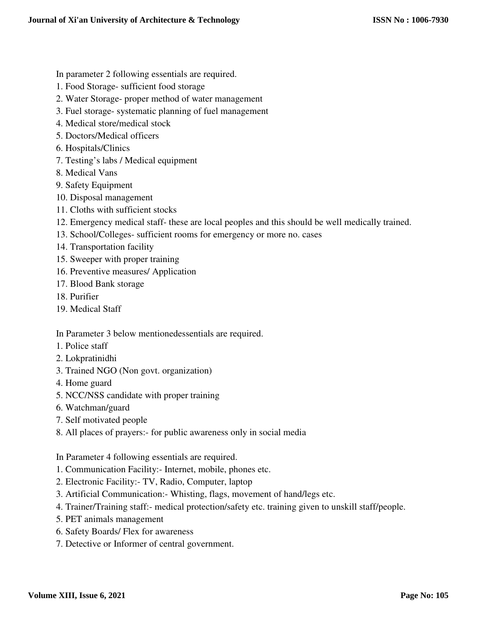In parameter 2 following essentials are required.

- 1. Food Storage- sufficient food storage
- 2. Water Storage- proper method of water management
- 3. Fuel storage- systematic planning of fuel management
- 4. Medical store/medical stock
- 5. Doctors/Medical officers
- 6. Hospitals/Clinics
- 7. Testing's labs / Medical equipment
- 8. Medical Vans
- 9. Safety Equipment
- 10. Disposal management
- 11. Cloths with sufficient stocks
- 12. Emergency medical staff- these are local peoples and this should be well medically trained.
- 13. School/Colleges- sufficient rooms for emergency or more no. cases
- 14. Transportation facility
- 15. Sweeper with proper training
- 16. Preventive measures/ Application
- 17. Blood Bank storage
- 18. Purifier
- 19. Medical Staff

In Parameter 3 below mentionedessentials are required.

- 1. Police staff
- 2. Lokpratinidhi
- 3. Trained NGO (Non govt. organization)
- 4. Home guard
- 5. NCC/NSS candidate with proper training
- 6. Watchman/guard
- 7. Self motivated people
- 8. All places of prayers:- for public awareness only in social media

In Parameter 4 following essentials are required.

- 1. Communication Facility:- Internet, mobile, phones etc.
- 2. Electronic Facility:- TV, Radio, Computer, laptop
- 3. Artificial Communication:- Whisting, flags, movement of hand/legs etc.
- 4. Trainer/Training staff:- medical protection/safety etc. training given to unskill staff/people.
- 5. PET animals management
- 6. Safety Boards/ Flex for awareness
- 7. Detective or Informer of central government.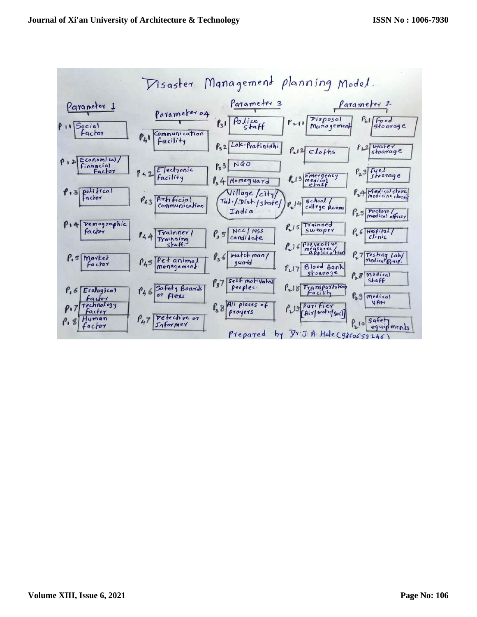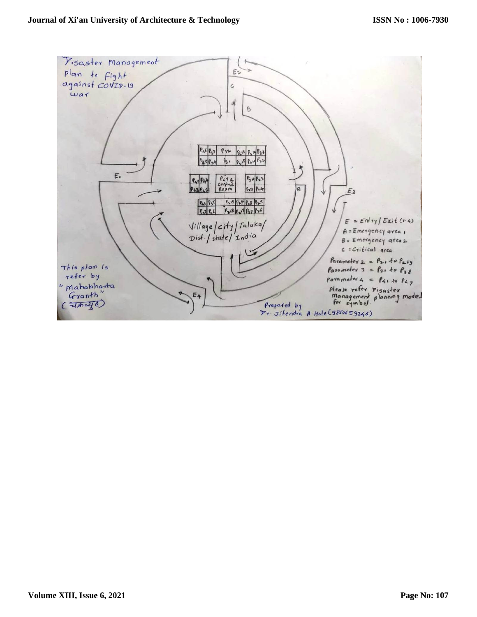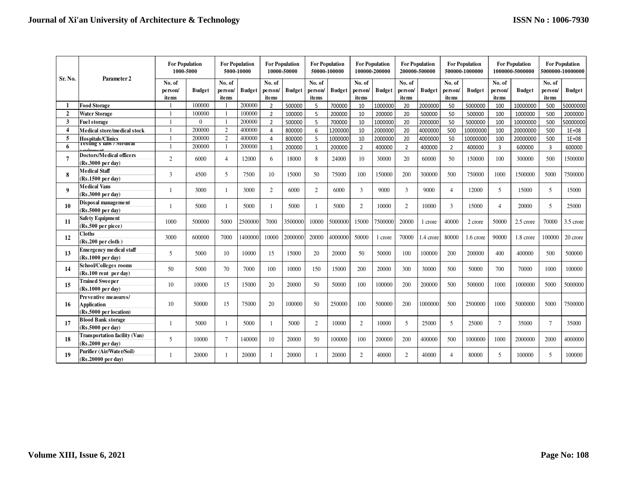| Sr. No.               | Parameter 2                                                          | <b>For Population</b><br>1000-5000 |               | <b>For Population</b><br>5000-10000 |               | <b>For Population</b><br>10000-50000 |               | <b>For Population</b><br>50000-100000 |               | <b>For Population</b><br>100000-200000 |               | <b>For Population</b><br>200000-500000 |               | <b>For Population</b><br>500000-1000000 |               | <b>For Population</b><br>1000000-5000000 |               | <b>For Population</b><br>5000000-10000000 |               |
|-----------------------|----------------------------------------------------------------------|------------------------------------|---------------|-------------------------------------|---------------|--------------------------------------|---------------|---------------------------------------|---------------|----------------------------------------|---------------|----------------------------------------|---------------|-----------------------------------------|---------------|------------------------------------------|---------------|-------------------------------------------|---------------|
|                       |                                                                      | No. of                             | <b>Budget</b> | No. of                              | <b>Budget</b> | No. of                               | <b>Budget</b> | No. of                                | <b>Budget</b> | No. of                                 | <b>Budget</b> | No. of                                 | <b>Budget</b> | No. of                                  | <b>Budget</b> | No. of                                   | <b>Budget</b> | No. of                                    | <b>Budget</b> |
|                       |                                                                      | person/<br>items                   |               | person/<br>items                    |               | person<br>items                      |               | person/<br>items                      |               | person/<br>items                       |               | person/<br>items                       |               | person/<br>items                        |               | person/<br>items                         |               | person/<br>items                          |               |
|                       | <b>Food Storage</b>                                                  |                                    | 100000        |                                     | 200000        | $\overline{2}$                       | 500000        | 5                                     | 700000        | 10                                     | 1000000       | 20                                     | 2000000       | 50                                      | 5000000       | 100                                      | 10000000      | 500                                       | 50000000      |
| $\overline{2}$        | <b>Water Storage</b>                                                 |                                    | 100000        |                                     | 100000        | $\overline{2}$                       | 100000        | 5                                     | 200000        | 10                                     | 200000        | 20                                     | 500000        | 50                                      | 500000        | 100                                      | 1000000       | 500                                       | 2000000       |
| 3                     | <b>Fuel storage</b>                                                  |                                    | $\Omega$      |                                     | 200000        | $\overline{2}$                       | 500000        | 5                                     | 700000        | 10                                     | 1000000       | 20                                     | 2000000       | 50                                      | 5000000       | 100                                      | 10000000      | 500                                       | 50000000      |
| $\boldsymbol{\Delta}$ | Medical store/medical stock                                          | $\mathbf{1}$                       | 200000        | 2                                   | 400000        | 4                                    | 800000        | 6                                     | 1200000       | 10                                     | 2000000       | 20                                     | 4000000       | 500                                     | 10000000      | 100                                      | 20000000      | 500                                       | $1E+08$       |
| 5                     | <b>Hospitals/Clinics</b>                                             |                                    | 200000        | $\overline{2}$                      | 400000        | 4                                    | 800000        | 5                                     | 1000000       | 10                                     | 2000000       | 20                                     | 4000000       | 50                                      | 10000000      | 100                                      | 20000000      | 500                                       | $1E+08$       |
| 6                     | resting's labs / Medical                                             |                                    | 200000        |                                     | 200000        | $\mathbf{1}$                         | 200000        | $\mathbf{1}$                          | 200000        | $\overline{2}$                         | 400000        | $\overline{2}$                         | 400000        | $\overline{2}$                          | 400000        | 3                                        | 600000        | 3                                         | 600000        |
|                       | <b>Doctors/Medical officers</b><br>$(Rs.3000 \text{ per day})$       | 2                                  | 6000          | 4                                   | 12000         | 6                                    | 18000         | 8                                     | 24000         | 10                                     | 30000         | 20                                     | 60000         | 50                                      | 150000        | 100                                      | 300000        | 500                                       | 1500000       |
| 8                     | <b>Medical Staff</b><br>$(Rs.1500 \text{ per day})$                  | 3                                  | 4500          | 5                                   | 7500          | 10                                   | 15000         | 50                                    | 75000         | 100                                    | 150000        | 200                                    | 300000        | 500                                     | 750000        | 1000                                     | 1500000       | 5000                                      | 7500000       |
| - 9                   | <b>Medical Vans</b><br>$(Rs.3000 \text{ per day})$                   |                                    | 3000          |                                     | 3000          | $\overline{2}$                       | 6000          | $\overline{2}$                        | 6000          | $\mathfrak{Z}$                         | 9000          | 3                                      | 9000          | $\overline{4}$                          | 12000         | 5                                        | 15000         | 5                                         | 15000         |
| 10                    | Disposal management<br>$(Rs.5000 \text{ per day})$                   |                                    | 5000          |                                     | 5000          | $\mathbf{1}$                         | 5000          |                                       | 5000          | $\overline{2}$                         | 10000         | $\overline{c}$                         | 10000         | 3                                       | 15000         | $\overline{4}$                           | 20000         | 5                                         | 25000         |
| 11                    | <b>Safety Equipment</b><br>(Rs.500 per piece)                        | 1000                               | 500000        | 5000                                | 2500000       | 7000                                 | 3500000       | 10000                                 | 5000000       | 15000                                  | 7500000       | 20000                                  | 1 crore       | 40000                                   | 2 crore       | 50000                                    | 2.5 crore     | 70000                                     | 3.5 crore     |
| 12                    | <b>Cloths</b><br>(Rs.200 per cloth)                                  | 3000                               | 600000        | 7000                                | 1400000       | 10000                                | 2000000       | 20000                                 | 4000000       | 50000                                  | 1 crore       | 70000                                  | .4 crore      | 80000                                   | 1.6 crore     | 90000                                    | 1.8 crore     | 100000                                    | 20 crore      |
| 13                    | <b>Emergency medical staff</b><br>$(Rs.1000 \text{ per day})$        | 5                                  | 5000          | 10                                  | 10000         | 15                                   | 15000         | 20                                    | 20000         | 50                                     | 50000         | 100                                    | 100000        | 200                                     | 200000        | 400                                      | 400000        | 500                                       | 500000        |
| 14                    | School/Colleges rooms<br>(Rs.100 rent per day)                       | 50                                 | 5000          | 70                                  | 7000          | 100                                  | 10000         | 150                                   | 15000         | 200                                    | 20000         | 300                                    | 30000         | 500                                     | 50000         | 700                                      | 70000         | 1000                                      | 100000        |
| 15                    | <b>Trained Sweeper</b><br>$(Rs.1000 \text{ per day})$                | 10                                 | 10000         | 15                                  | 15000         | 20                                   | 20000         | 50                                    | 50000         | 100                                    | 100000        | 200                                    | 200000        | 500                                     | 500000        | 1000                                     | 1000000       | 5000                                      | 5000000       |
| 16                    | Preventive measures/<br><b>Application</b><br>(Rs.5000 per location) | 10                                 | 50000         | 15                                  | 75000         | 20                                   | 100000        | 50                                    | 250000        | 100                                    | 500000        | 200                                    | 1000000       | 500                                     | 2500000       | 1000                                     | 5000000       | 5000                                      | 7500000       |
| 17                    | <b>Blood Bank storage</b><br>$(Rs.5000 \text{ per day})$             |                                    | 5000          |                                     | 5000          |                                      | 5000          | $\overline{2}$                        | 10000         | $\overline{2}$                         | 10000         | 5                                      | 25000         | 5                                       | 25000         | $\overline{7}$                           | 35000         | $\overline{7}$                            | 35000         |
| 18                    | <b>Transportation facility (Van)</b><br>$(Rs.2000$ per day)          | 5                                  | 10000         | $\tau$                              | 140000        | 10                                   | 20000         | 50                                    | 100000        | 100                                    | 200000        | 200                                    | 400000        | 500                                     | 1000000       | 1000                                     | 2000000       | 2000                                      | 4000000       |
| 19                    | Purifier (Air/Water/Soil)<br>$(Rs.20000 \text{ per day})$            |                                    | 20000         |                                     | 20000         |                                      | 20000         |                                       | 20000         | $\overline{2}$                         | 40000         | $\mathfrak{D}$                         | 40000         | $\overline{4}$                          | 80000         | $\overline{5}$                           | 100000        | 5                                         | 100000        |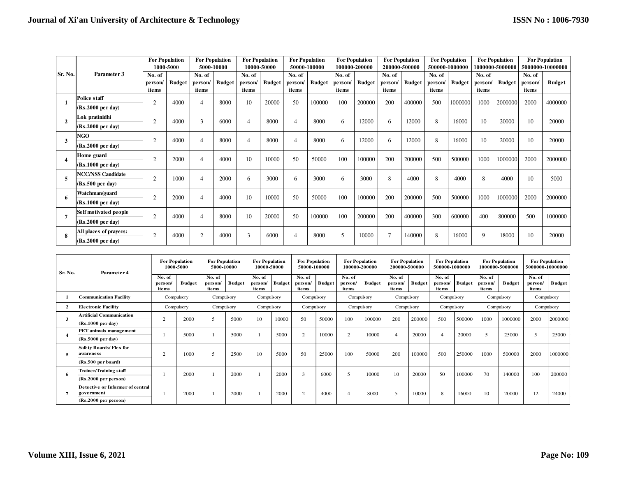|                |                                                        | <b>For Population</b><br>1000-5000 |               | <b>For Population</b><br>5000-10000 |               | <b>For Population</b><br>10000-50000 |               | <b>For Population</b><br>50000-100000 |               | <b>For Population</b><br>100000-200000 |               | <b>For Population</b><br>200000-500000 |               | <b>For Population</b><br>500000-1000000 |               | <b>For Population</b><br>1000000-5000000 |               | <b>For Population</b><br>5000000-10000000 |               |
|----------------|--------------------------------------------------------|------------------------------------|---------------|-------------------------------------|---------------|--------------------------------------|---------------|---------------------------------------|---------------|----------------------------------------|---------------|----------------------------------------|---------------|-----------------------------------------|---------------|------------------------------------------|---------------|-------------------------------------------|---------------|
| Sr. No.        | Parameter 3                                            | No. of<br>person/<br>items         | <b>Budget</b> | No. of<br>person<br>items           | <b>Budget</b> | No. of<br>person/<br>items           | <b>Budget</b> | No. of<br>person/<br>items            | <b>Budget</b> | No. of<br>person/<br>items             | <b>Budget</b> | No. of<br>person/<br>items             | <b>Budget</b> | No. of<br>person<br>items               | <b>Budget</b> | No. of<br>person<br><i>items</i>         | <b>Budget</b> | No. of<br>person/<br>items                | <b>Budget</b> |
|                | <b>Police staff</b><br>$(Rs.2000 \text{ per day})$     | h                                  | 4000          |                                     | 8000          | 10                                   | 20000         | 50                                    | 100000        | 100                                    | 200000        | 200                                    | 400000        | 500                                     | 1000000       | 1000                                     | 2000000       | 2000                                      | 4000000       |
| $\overline{2}$ | Lok pratinidhi<br>$(Rs.2000 \text{ per day})$          | $\overline{c}$                     | 4000          | $\mathcal{E}$                       | 6000          | 4                                    | 8000          | $\overline{4}$                        | 8000          | 6                                      | 12000         | 6                                      | 12000         | 8                                       | 16000         | 10                                       | 20000         | 10                                        | 20000         |
| 3              | <b>NGO</b><br>$(Rs.2000 \text{ per day})$              | $\overline{c}$                     | 4000          |                                     | 8000          | 4                                    | 8000          | 4                                     | 8000          | 6                                      | 12000         | 6                                      | 12000         | 8                                       | 16000         | 10                                       | 20000         | 10                                        | 20000         |
|                | Home guard<br>$(Rs.1000 \text{ per day})$              | h                                  | 2000          | $\overline{4}$                      | 4000          | 10                                   | 10000         | 50                                    | 50000         | 100                                    | 100000        | 200                                    | 200000        | 500                                     | 500000        | 1000                                     | 1000000       | 2000                                      | 2000000       |
| 5              | <b>NCC/NSS Candidate</b><br>$(Rs.500 \text{ per day})$ | $\overline{2}$                     | 1000          | 4                                   | 2000          | 6                                    | 3000          | 6                                     | 3000          | 6                                      | 3000          | 8                                      | 4000          | 8                                       | 4000          | 8                                        | 4000          | 10                                        | 5000          |
| 6              | Watchman/guard<br>$(Rs.1000 \text{ per day})$          | $\overline{c}$                     | 2000          |                                     | 4000          | 10                                   | 10000         | 50                                    | 50000         | 100                                    | 100000        | 200                                    | 200000        | 500                                     | 500000        | 1000                                     | 1000000       | 2000                                      | 2000000       |
| 7              | Self motivated people<br>(Rs.2000 per day)             | 2                                  | 4000          | $\overline{4}$                      | 8000          | 10                                   | 20000         | 50                                    | 100000        | 100                                    | 200000        | 200                                    | 400000        | 300                                     | 600000        | 400                                      | 800000        | 500                                       | 1000000       |
| 8              | All places of prayers:<br>$(Rs.2000 \text{ per day})$  | $\overline{2}$                     | 4000          | 2                                   | 4000          | 3                                    | 6000          | $\overline{4}$                        | 8000          | 5                                      | 10000         |                                        | 140000        | 8                                       | 16000         | 9                                        | 18000         | 10                                        | 20000         |

| Sr. No. | Parameter 4                                                            | <b>For Population</b><br>1000-5000 |               | <b>For Population</b><br>5000-10000 |        | <b>For Population</b><br>10000-50000 |               | <b>For Population</b><br>50000-100000 |               | <b>For Population</b><br>100000-200000 |               | <b>For Population</b><br>200000-500000 |               | <b>For Population</b><br>500000-1000000 |        | <b>For Population</b><br>1000000-5000000 |               | <b>For Population</b><br>5000000-10000000 |               |
|---------|------------------------------------------------------------------------|------------------------------------|---------------|-------------------------------------|--------|--------------------------------------|---------------|---------------------------------------|---------------|----------------------------------------|---------------|----------------------------------------|---------------|-----------------------------------------|--------|------------------------------------------|---------------|-------------------------------------------|---------------|
|         |                                                                        | No. of<br>person<br>items          | <b>Budget</b> | No. of<br>person/<br>items          | Budget | No. of<br>person/<br>items           | <b>Budget</b> | No. of<br>person/<br>items            | <b>Budget</b> | No. of<br>person/<br>items             | <b>Budget</b> | No. of<br>person/<br>items             | <b>Budget</b> | No. of<br>person/<br>items              | Budget | No. of<br>person/<br>items               | <b>Budget</b> | No. of<br>person/<br>items                | <b>Budget</b> |
|         | <b>Communication Facility</b>                                          | Compulsory                         |               | Compulsory                          |        | Compulsory                           |               | Compulsory                            |               | Compulsory                             |               | Compulsory                             |               | Compulsory                              |        | Compulsory                               |               | Compulsory                                |               |
|         | <b>Electronic Facility</b>                                             | Compulsory                         |               | Compulsory                          |        | Compulsory                           |               | Compulsory                            |               | Compulsory                             |               | Compulsory                             |               | Compulsory                              |        | Compulsory                               |               | Compulsory                                |               |
| 3       | Artificial Communication<br>(Rs.1000 per day)                          | $\overline{c}$                     | 2000          |                                     | 5000   | 10                                   | 10000         | 50                                    | 50000         | 100                                    | 100000        | 200                                    | 200000        | 500                                     | 500000 | 1000                                     | 1000000       | 2000                                      | 2000000       |
|         | PET animals management<br>$(Rs.5000 \text{ per day})$                  |                                    | 5000          |                                     | 5000   |                                      | 5000          | 2                                     | 10000         | 2                                      | 10000         |                                        | 20000         |                                         | 20000  |                                          | 25000         | 5                                         | 25000         |
|         | Safety Boards/Flex for<br>aware ne s s<br>(Rs.500 per board)           | $\overline{c}$                     | 1000          |                                     | 2500   | 10                                   | 5000          | 50                                    | 25000         | 100                                    | 50000         | 200                                    | 100000        | 500                                     | 250000 | 1000                                     | 500000        | 2000                                      | 1000000       |
| -6      | Trainer/Training staff<br>(Rs.2000 per person)                         |                                    | 2000          |                                     | 2000   |                                      | 2000          | 3                                     | 6000          | 5                                      | 10000         | 10                                     | 20000         | 50                                      | 100000 | 70                                       | 140000        | 100                                       | 200000        |
|         | Detective or Informer of central<br>government<br>(Rs.2000 per person) |                                    | 2000          |                                     | 2000   |                                      | 2000          | $\overline{2}$                        | 4000          | 4                                      | 8000          |                                        | 10000         | 8                                       | 16000  | 10                                       | 20000         | 12                                        | 24000         |